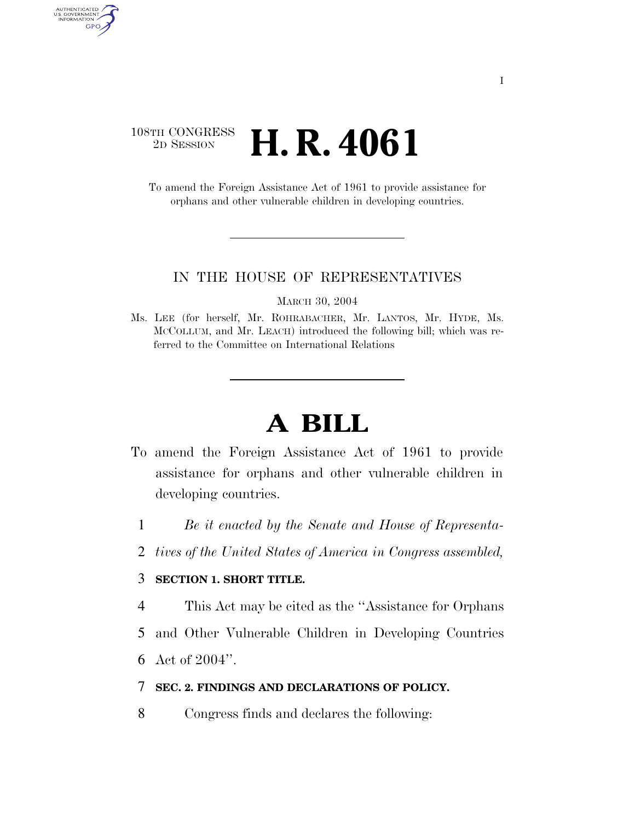### 108TH CONGRESS <sup>2D SESSION</sup> **H. R. 4061**

AUTHENTICATED<br>U.S. GOVERNMENT<br>INFORMATION GPO

> To amend the Foreign Assistance Act of 1961 to provide assistance for orphans and other vulnerable children in developing countries.

#### IN THE HOUSE OF REPRESENTATIVES

MARCH 30, 2004

Ms. LEE (for herself, Mr. ROHRABACHER, Mr. LANTOS, Mr. HYDE, Ms. MCCOLLUM, and Mr. LEACH) introduced the following bill; which was referred to the Committee on International Relations

# **A BILL**

- To amend the Foreign Assistance Act of 1961 to provide assistance for orphans and other vulnerable children in developing countries.
	- 1 *Be it enacted by the Senate and House of Representa-*
	- 2 *tives of the United States of America in Congress assembled,*

#### 3 **SECTION 1. SHORT TITLE.**

- 4 This Act may be cited as the ''Assistance for Orphans
- 5 and Other Vulnerable Children in Developing Countries
- 6 Act of 2004''.

#### 7 **SEC. 2. FINDINGS AND DECLARATIONS OF POLICY.**

8 Congress finds and declares the following: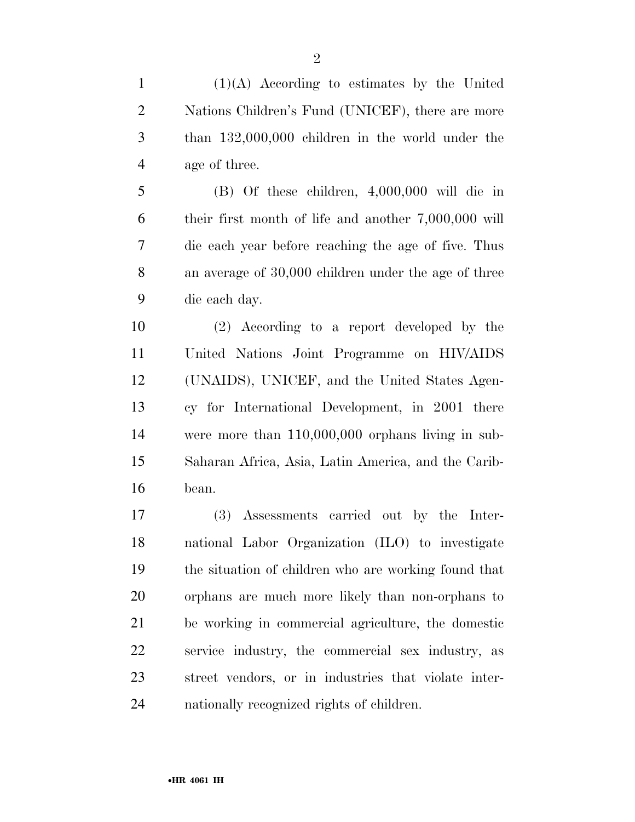(1)(A) According to estimates by the United Nations Children's Fund (UNICEF), there are more than 132,000,000 children in the world under the age of three.

 (B) Of these children, 4,000,000 will die in their first month of life and another 7,000,000 will die each year before reaching the age of five. Thus an average of 30,000 children under the age of three die each day.

 (2) According to a report developed by the United Nations Joint Programme on HIV/AIDS (UNAIDS), UNICEF, and the United States Agen- cy for International Development, in 2001 there were more than 110,000,000 orphans living in sub- Saharan Africa, Asia, Latin America, and the Carib-bean.

 (3) Assessments carried out by the Inter- national Labor Organization (ILO) to investigate the situation of children who are working found that orphans are much more likely than non-orphans to be working in commercial agriculture, the domestic service industry, the commercial sex industry, as street vendors, or in industries that violate inter-nationally recognized rights of children.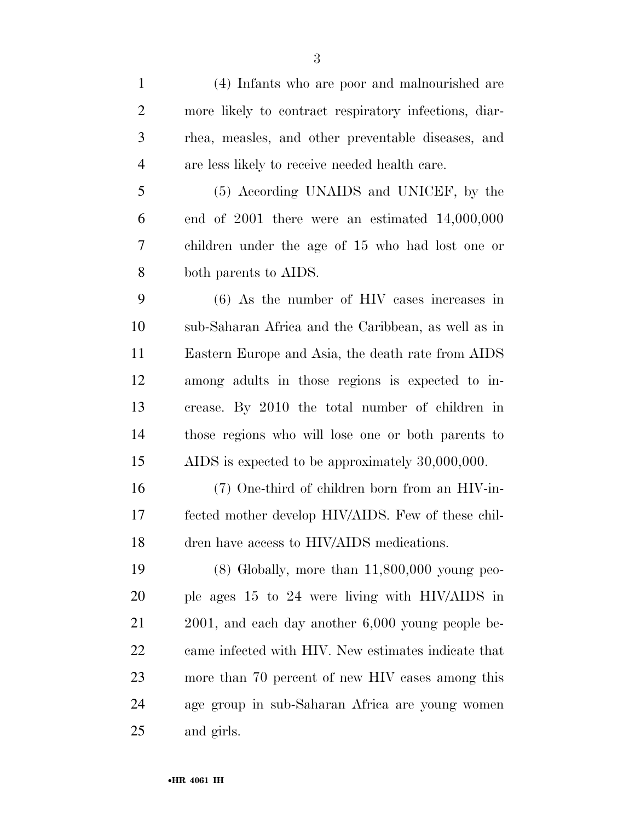| $\mathbf{1}$   | (4) Infants who are poor and malnourished are          |
|----------------|--------------------------------------------------------|
| $\overline{2}$ | more likely to contract respiratory infections, diar-  |
| 3              | rhea, measles, and other preventable diseases, and     |
| $\overline{4}$ | are less likely to receive needed health care.         |
| 5              | (5) According UNAIDS and UNICEF, by the                |
| 6              | end of $2001$ there were an estimated $14,000,000$     |
| 7              | children under the age of 15 who had lost one or       |
| 8              | both parents to AIDS.                                  |
| 9              | $(6)$ As the number of HIV cases increases in          |
| 10             | sub-Saharan Africa and the Caribbean, as well as in    |
| 11             | Eastern Europe and Asia, the death rate from AIDS      |
| 12             | among adults in those regions is expected to in-       |
| 13             | crease. By 2010 the total number of children in        |
| 14             | those regions who will lose one or both parents to     |
| 15             | AIDS is expected to be approximately 30,000,000.       |
| 16             | (7) One-third of children born from an HIV-in-         |
| 17             | fected mother develop HIV/AIDS. Few of these chil-     |
| 18             | dren have access to HIV/AIDS medications.              |
| 19             | $(8)$ Globally, more than $11,800,000$ young peo-      |
| 20             | ple ages 15 to 24 were living with HIV/AIDS in         |
| 21             | $2001$ , and each day another $6,000$ young people be- |
| 22             | came infected with HIV. New estimates indicate that    |
| 23             | more than 70 percent of new HIV cases among this       |
| 24             | age group in sub-Saharan Africa are young women        |
| 25             | and girls.                                             |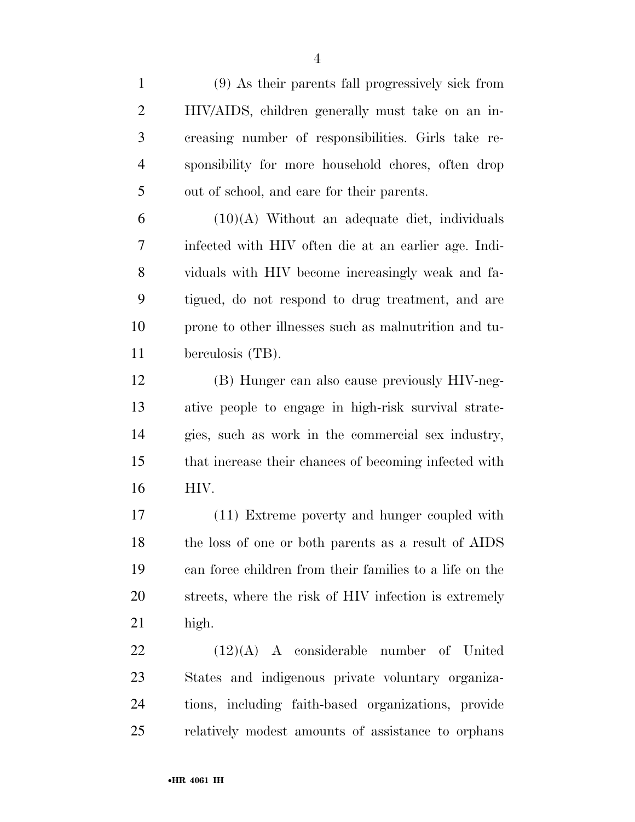(9) As their parents fall progressively sick from HIV/AIDS, children generally must take on an in- creasing number of responsibilities. Girls take re- sponsibility for more household chores, often drop out of school, and care for their parents.

 $6 \qquad (10)(A)$  Without an adequate diet, individuals infected with HIV often die at an earlier age. Indi- viduals with HIV become increasingly weak and fa- tigued, do not respond to drug treatment, and are prone to other illnesses such as malnutrition and tu-berculosis (TB).

 (B) Hunger can also cause previously HIV-neg- ative people to engage in high-risk survival strate- gies, such as work in the commercial sex industry, that increase their chances of becoming infected with HIV.

 (11) Extreme poverty and hunger coupled with the loss of one or both parents as a result of AIDS can force children from their families to a life on the streets, where the risk of HIV infection is extremely high.

 (12)(A) A considerable number of United States and indigenous private voluntary organiza- tions, including faith-based organizations, provide relatively modest amounts of assistance to orphans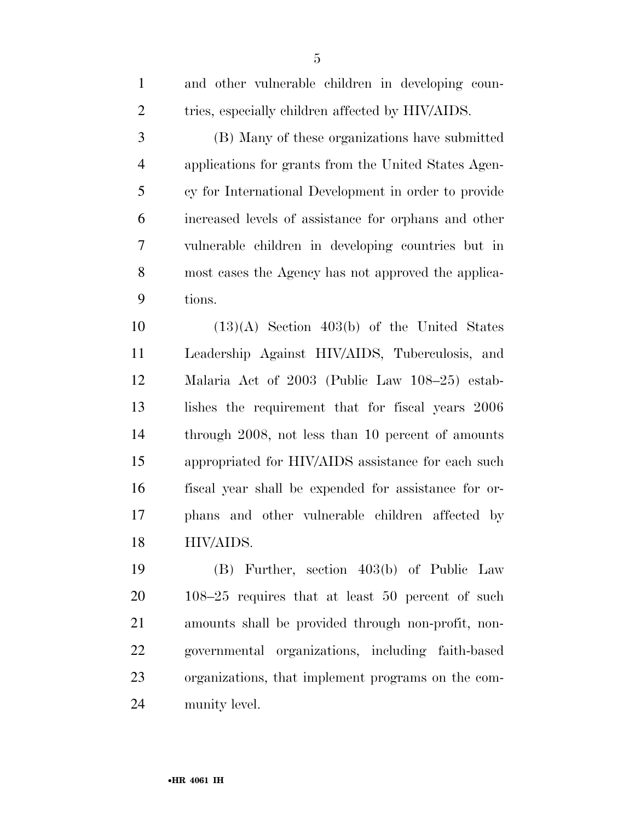| $\mathbf{1}$   | and other vulnerable children in developing coun-    |
|----------------|------------------------------------------------------|
| $\overline{2}$ | tries, especially children affected by HIV/AIDS.     |
| 3              | (B) Many of these organizations have submitted       |
| $\overline{4}$ | applications for grants from the United States Agen- |
| 5              | cy for International Development in order to provide |
| 6              | increased levels of assistance for orphans and other |
| 7              | vulnerable children in developing countries but in   |
| 8              | most cases the Agency has not approved the applica-  |
| 9              | tions.                                               |
| 10             | $(13)(A)$ Section 403(b) of the United States        |
| 11             | Leadership Against HIV/AIDS, Tuberculosis, and       |
| 12             | Malaria Act of 2003 (Public Law 108–25) estab-       |
| 13             | lishes the requirement that for fiscal years 2006    |
| 14             | through 2008, not less than 10 percent of amounts    |
| 15             | appropriated for HIV/AIDS assistance for each such   |
| 16             | fiscal year shall be expended for assistance for or- |
| 17             | phans and other vulnerable children affected by      |
| 18             | HIV/AIDS.                                            |
| 19             | (B) Further, section 403(b) of Public Law            |
| 20             | $108-25$ requires that at least 50 percent of such   |
| 21             | amounts shall be provided through non-profit, non-   |
| 22             | governmental organizations, including faith-based    |

organizations, that implement programs on the com-

munity level.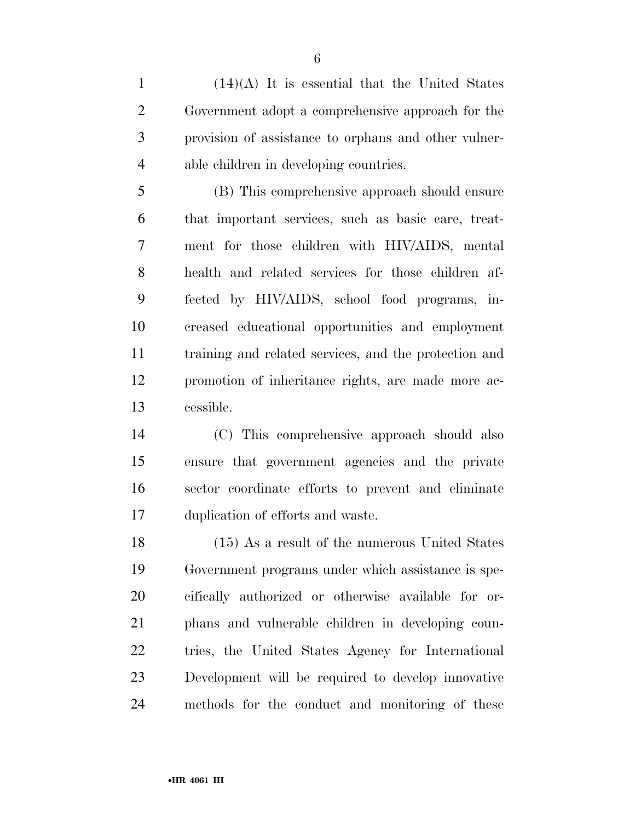(14)(A) It is essential that the United States Government adopt a comprehensive approach for the provision of assistance to orphans and other vulner-able children in developing countries.

 (B) This comprehensive approach should ensure that important services, such as basic care, treat- ment for those children with HIV/AIDS, mental health and related services for those children af- fected by HIV/AIDS, school food programs, in- creased educational opportunities and employment training and related services, and the protection and promotion of inheritance rights, are made more ac-cessible.

 (C) This comprehensive approach should also ensure that government agencies and the private sector coordinate efforts to prevent and eliminate duplication of efforts and waste.

 (15) As a result of the numerous United States Government programs under which assistance is spe- cifically authorized or otherwise available for or- phans and vulnerable children in developing coun- tries, the United States Agency for International Development will be required to develop innovative methods for the conduct and monitoring of these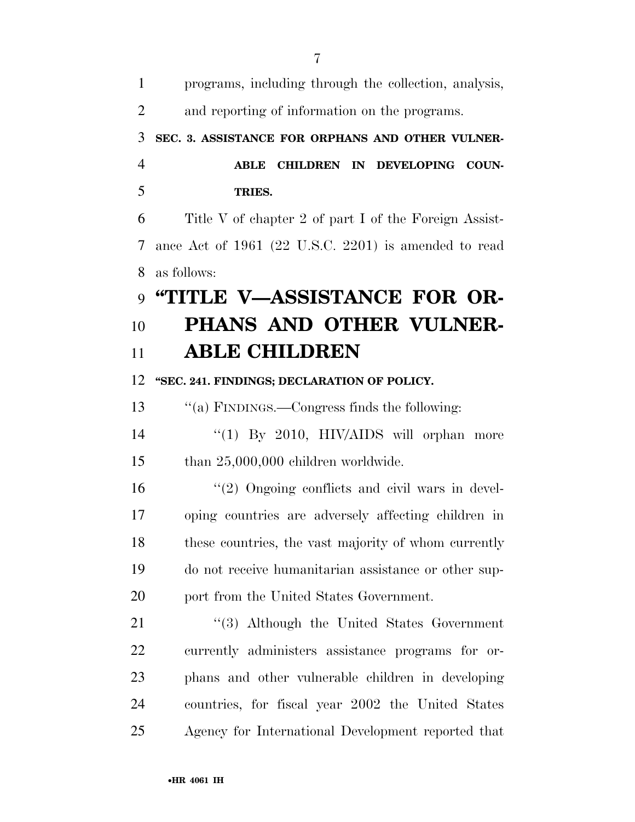| $\mathbf{1}$   | programs, including through the collection, analysis, |
|----------------|-------------------------------------------------------|
| $\overline{2}$ | and reporting of information on the programs.         |
| 3              | SEC. 3. ASSISTANCE FOR ORPHANS AND OTHER VULNER-      |
| $\overline{4}$ | CHILDREN IN DEVELOPING COUN-<br><b>ABLE</b>           |
| 5              | TRIES.                                                |
| 6              | Title V of chapter 2 of part I of the Foreign Assist- |
| 7              | ance Act of 1961 (22 U.S.C. 2201) is amended to read  |
| 8              | as follows:                                           |
| 9              | "TITLE V—ASSISTANCE FOR OR-                           |
| 10             | PHANS AND OTHER VULNER-                               |
| 11             | <b>ABLE CHILDREN</b>                                  |
| 12             | "SEC. 241. FINDINGS; DECLARATION OF POLICY.           |
| 13             | "(a) FINDINGS.—Congress finds the following:          |
| 14             | " $(1)$ By 2010, HIV/AIDS will orphan more            |
| 15             | than $25,000,000$ children worldwide.                 |
| 16             | $\lq(2)$ Ongoing conflicts and civil wars in devel-   |
| 17             | oping countries are adversely affecting children in   |
| 18             | these countries, the vast majority of whom currently  |
| 19             | do not receive humanitarian assistance or other sup-  |
| 20             | port from the United States Government.               |
| 21             | $\cdot$ (3) Although the United States Government     |
| 22             | currently administers assistance programs for or-     |
| 23             | phans and other vulnerable children in developing     |
| 24             | countries, for fiscal year 2002 the United States     |
| 25             | Agency for International Development reported that    |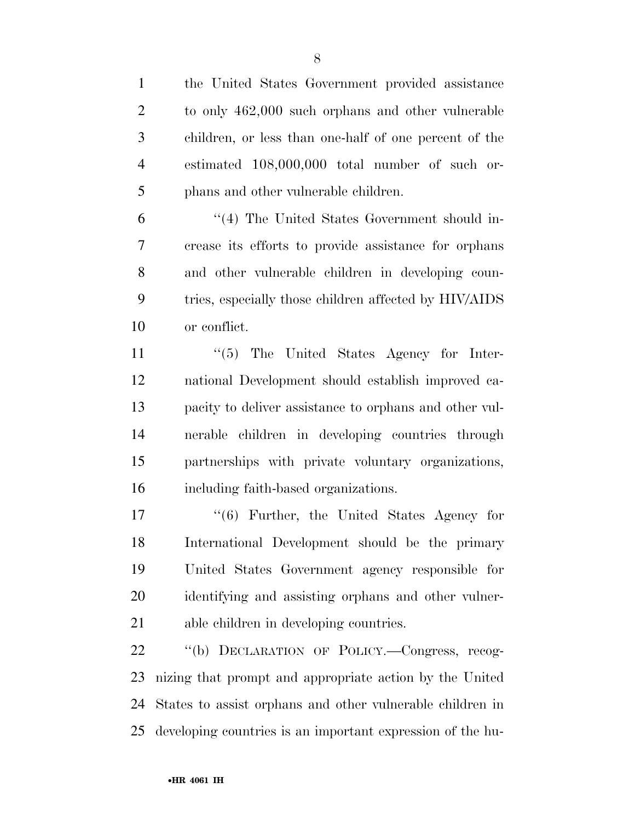the United States Government provided assistance to only 462,000 such orphans and other vulnerable

 children, or less than one-half of one percent of the estimated 108,000,000 total number of such or-phans and other vulnerable children.

 ''(4) The United States Government should in- crease its efforts to provide assistance for orphans and other vulnerable children in developing coun- tries, especially those children affected by HIV/AIDS or conflict.

11 ''(5) The United States Agency for Inter- national Development should establish improved ca- pacity to deliver assistance to orphans and other vul- nerable children in developing countries through partnerships with private voluntary organizations, including faith-based organizations.

 ''(6) Further, the United States Agency for International Development should be the primary United States Government agency responsible for identifying and assisting orphans and other vulner-able children in developing countries.

 ''(b) DECLARATION OF POLICY.—Congress, recog- nizing that prompt and appropriate action by the United States to assist orphans and other vulnerable children in developing countries is an important expression of the hu-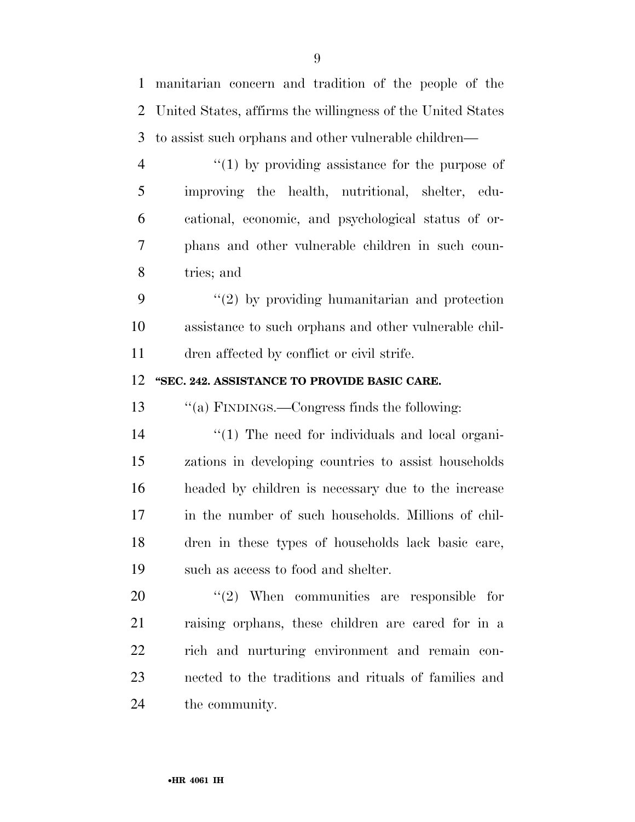| $\mathbf{1}$   | manitarian concern and tradition of the people of the       |
|----------------|-------------------------------------------------------------|
| $\overline{2}$ | United States, affirms the willingness of the United States |
| 3              | to assist such orphans and other vulnerable children—       |
| $\overline{4}$ | $\lq(1)$ by providing assistance for the purpose of         |
| 5              | improving the health, nutritional, shelter, edu-            |
| 6              | cational, economic, and psychological status of or-         |
| 7              | phans and other vulnerable children in such coun-           |
| 8              | tries; and                                                  |
| 9              | $\lq(2)$ by providing humanitarian and protection           |
| 10             | assistance to such orphans and other vulnerable chil-       |
| 11             | dren affected by conflict or civil strife.                  |
| 12             | "SEC. 242. ASSISTANCE TO PROVIDE BASIC CARE.                |
|                |                                                             |
| 13             | "(a) FINDINGS.—Congress finds the following:                |
| 14             | $\lq(1)$ The need for individuals and local organi-         |
| 15             | zations in developing countries to assist households        |
| 16             | headed by children is necessary due to the increase         |
| 17             | in the number of such households. Millions of chil-         |
| 18             | dren in these types of households lack basic care,          |
| 19             | such as access to food and shelter.                         |
| 20             | $\cdot\cdot\cdot(2)$ When communities are responsible for   |
| 21             | raising orphans, these children are cared for in a          |
| 22             | rich and nurturing environment and remain con-              |
| 23             | nected to the traditions and rituals of families and        |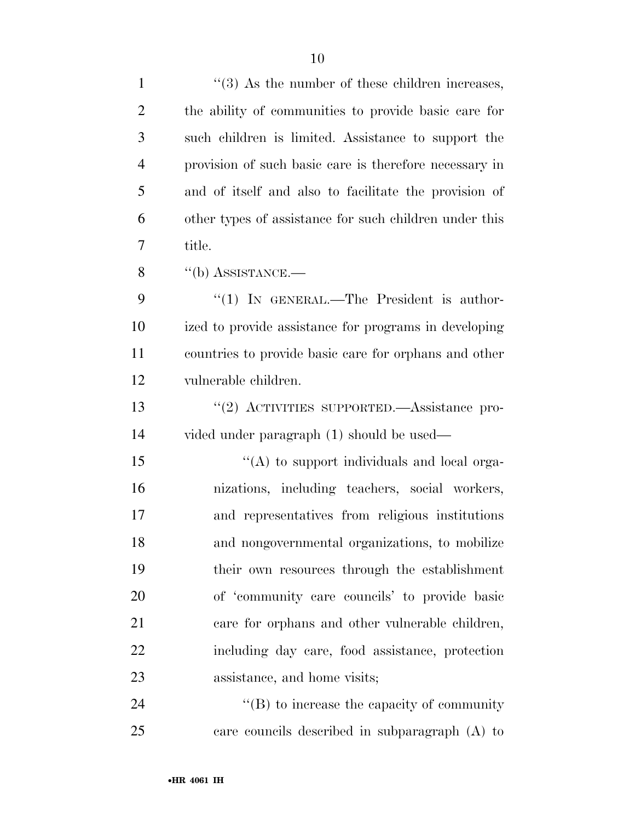| $\mathbf{1}$   | $\cdot$ (3) As the number of these children increases, |
|----------------|--------------------------------------------------------|
| $\overline{2}$ | the ability of communities to provide basic care for   |
| 3              | such children is limited. Assistance to support the    |
| $\overline{4}$ | provision of such basic care is therefore necessary in |
| 5              | and of itself and also to facilitate the provision of  |
| 6              | other types of assistance for such children under this |
| 7              | title.                                                 |
| 8              | $``$ (b) ASSISTANCE.—                                  |
| 9              | "(1) IN GENERAL.—The President is author-              |
| 10             | ized to provide assistance for programs in developing  |
| 11             | countries to provide basic care for orphans and other  |
| 12             | vulnerable children.                                   |
| 13             | "(2) ACTIVITIES SUPPORTED.—Assistance pro-             |
| 14             | vided under paragraph (1) should be used—              |
| 15             | "(A) to support individuals and local orga-            |
| 16             | nizations, including teachers, social workers,         |
| 17             | and representatives from religious institutions        |
| 18             | and nongovernmental organizations, to mobilize         |
| 19             | their own resources through the establishment          |
| 20             | of 'community care councils' to provide basic          |
| 21             | care for orphans and other vulnerable children,        |
| 22             | including day care, food assistance, protection        |
| 23             | assistance, and home visits;                           |
| 24             | $\lq\lq$ to increase the capacity of community         |
| 25             | care councils described in subparagraph (A) to         |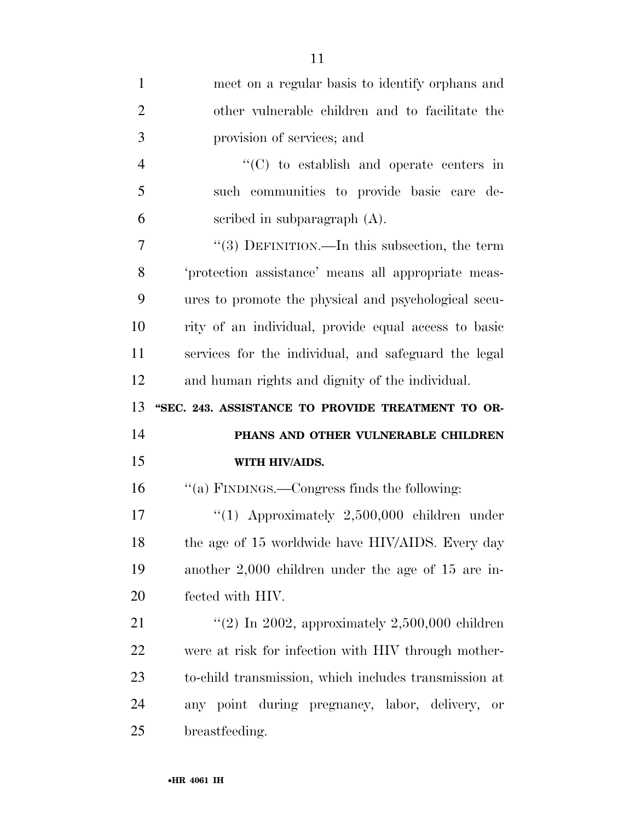| $\mathbf{1}$   | meet on a regular basis to identify orphans and         |
|----------------|---------------------------------------------------------|
| $\overline{2}$ | other vulnerable children and to facilitate the         |
| 3              | provision of services; and                              |
| $\overline{4}$ | $\cdot$ (C) to establish and operate centers in         |
| 5              | such communities to provide basic care de-              |
| 6              | scribed in subparagraph $(A)$ .                         |
| 7              | "(3) DEFINITION.—In this subsection, the term           |
| 8              | 'protection assistance' means all appropriate meas-     |
| 9              | ures to promote the physical and psychological secu-    |
| 10             | rity of an individual, provide equal access to basic    |
| 11             | services for the individual, and safeguard the legal    |
| 12             | and human rights and dignity of the individual.         |
|                |                                                         |
| 13             | "SEC. 243. ASSISTANCE TO PROVIDE TREATMENT TO OR-       |
| 14             | PHANS AND OTHER VULNERABLE CHILDREN                     |
| 15             | WITH HIV/AIDS.                                          |
| 16             | "(a) FINDINGS.—Congress finds the following:            |
| 17             | " $(1)$ Approximately 2,500,000 children under          |
| 18             | the age of 15 worldwide have HIV/AIDS. Every day        |
| 19             | another $2,000$ children under the age of 15 are in-    |
| 20             | fected with HIV.                                        |
| 21             | "(2) In 2002, approximately $2,500,000$ children        |
| 22             | were at risk for infection with HIV through mother-     |
| 23             | to-child transmission, which includes transmission at   |
| 24             | any point during pregnancy, labor, delivery,<br>$\;$ or |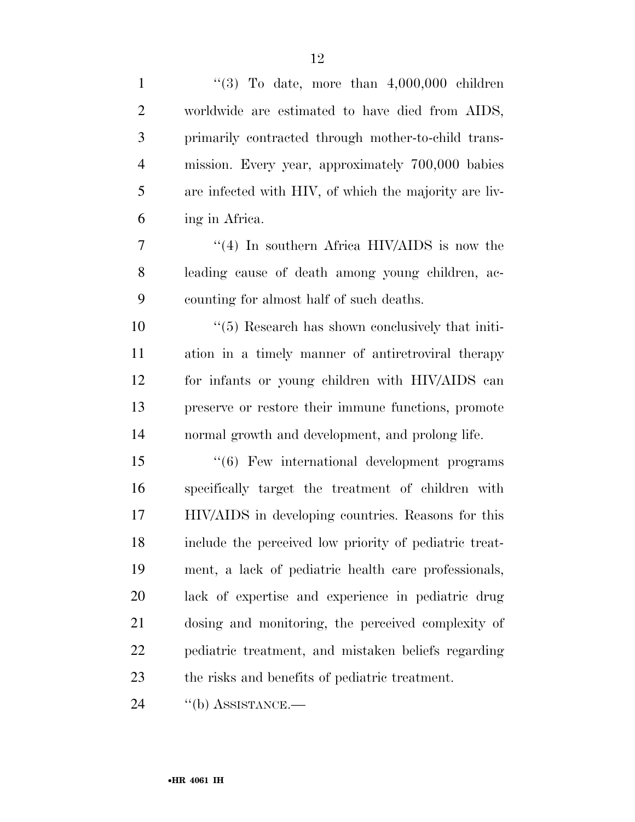| $\mathbf{1}$   | "(3) To date, more than $4,000,000$ children                 |
|----------------|--------------------------------------------------------------|
| $\overline{2}$ | worldwide are estimated to have died from AIDS,              |
| 3              | primarily contracted through mother-to-child trans-          |
| $\overline{4}$ | mission. Every year, approximately 700,000 babies            |
| 5              | are infected with HIV, of which the majority are liv-        |
| 6              | ing in Africa.                                               |
| 7              | $\cdot$ (4) In southern Africa HIV/AIDS is now the           |
| 8              | leading cause of death among young children, ac-             |
| 9              | counting for almost half of such deaths.                     |
| 10             | $\cdot\cdot$ (5) Research has shown conclusively that initi- |
| 11             | ation in a timely manner of antiretroviral therapy           |
| 12             | for infants or young children with HIV/AIDS can              |
| 13             | preserve or restore their immune functions, promote          |
| 14             | normal growth and development, and prolong life.             |
| 15             | "(6) Few international development programs                  |
| 16             | specifically target the treatment of children with           |
| 17             | HIV/AIDS in developing countries. Reasons for this           |
| 18             | include the perceived low priority of pediatric treat-       |
| 19             | ment, a lack of pediatric health care professionals,         |
| 20             | lack of expertise and experience in pediatric drug           |
| 21             | dosing and monitoring, the perceived complexity of           |
| 22             | pediatric treatment, and mistaken beliefs regarding          |
| 23             | the risks and benefits of pediatric treatment.               |
| 24             | $\lq\lq(b)$ ASSISTANCE.—                                     |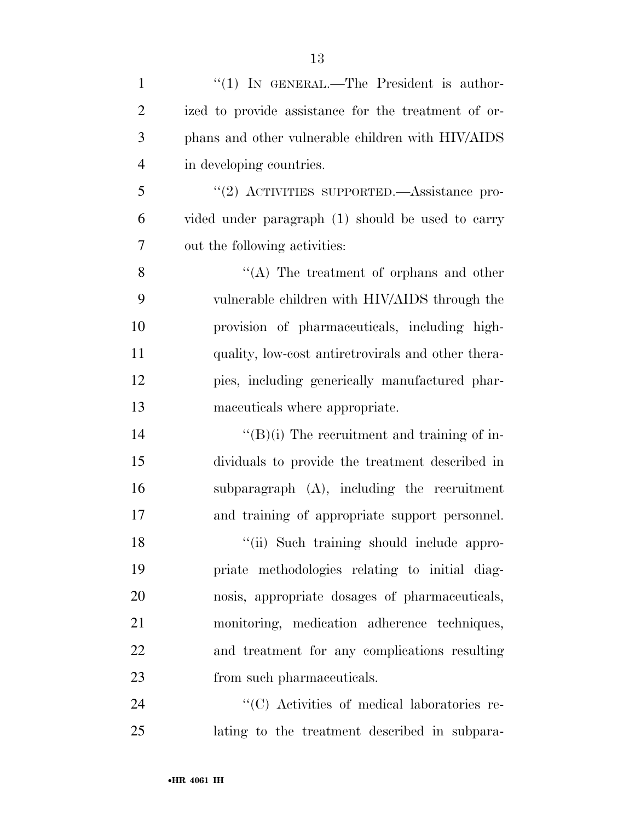| $\mathbf{1}$   | "(1) IN GENERAL.—The President is author-           |
|----------------|-----------------------------------------------------|
| $\overline{2}$ | ized to provide assistance for the treatment of or- |
| 3              | phans and other vulnerable children with HIV/AIDS   |
| $\overline{4}$ | in developing countries.                            |
| 5              | "(2) ACTIVITIES SUPPORTED.—Assistance pro-          |
| 6              | vided under paragraph (1) should be used to carry   |
| 7              | out the following activities:                       |
| 8              | "(A) The treatment of orphans and other             |
| 9              | vulnerable children with HIV/AIDS through the       |
| 10             | provision of pharmaceuticals, including high-       |
| 11             | quality, low-cost antiretrovirals and other thera-  |
| 12             | pies, including generically manufactured phar-      |
| 13             | maceuticals where appropriate.                      |
| 14             | $\lq\lq (B)(i)$ The recruitment and training of in- |
| 15             | dividuals to provide the treatment described in     |
| 16             | subparagraph (A), including the recruitment         |
| 17             | and training of appropriate support personnel.      |
| 18             | "(ii) Such training should include appro-           |
| 19             | priate methodologies relating to initial diag-      |
| 20             | nosis, appropriate dosages of pharmaceuticals,      |
| 21             | monitoring, medication adherence techniques,        |
| 22             | and treatment for any complications resulting       |
| 23             | from such pharmaceuticals.                          |
| 24             | "(C) Activities of medical laboratories re-         |
| 25             | lating to the treatment described in subpara-       |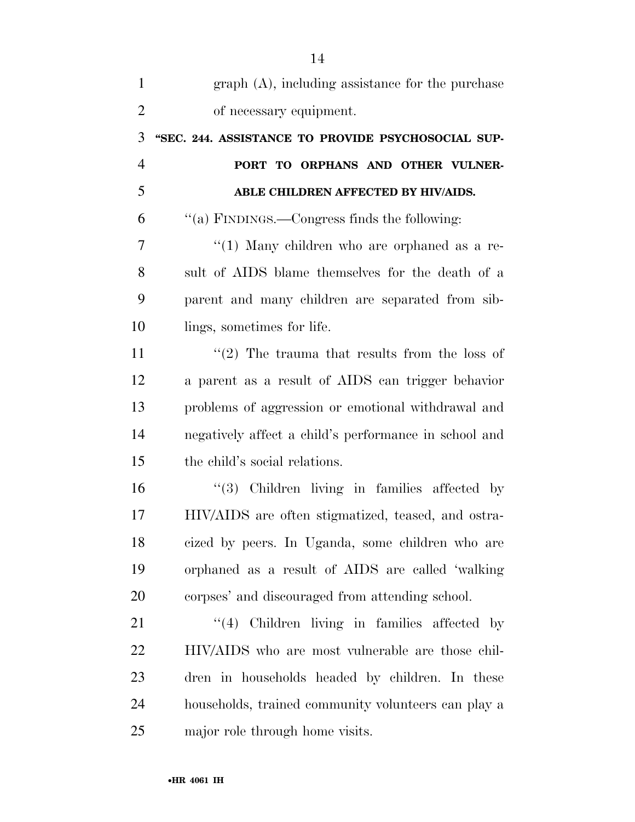| $\mathbf{1}$   | $graph(A)$ , including assistance for the purchase    |
|----------------|-------------------------------------------------------|
| $\overline{2}$ | of necessary equipment.                               |
| 3              | "SEC. 244. ASSISTANCE TO PROVIDE PSYCHOSOCIAL SUP-    |
| $\overline{4}$ | PORT TO ORPHANS AND OTHER VULNER-                     |
| 5              | ABLE CHILDREN AFFECTED BY HIV/AIDS.                   |
| 6              | "(a) FINDINGS.—Congress finds the following:          |
| 7              | " $(1)$ Many children who are orphaned as a re-       |
| 8              | sult of AIDS blame themselves for the death of a      |
| 9              | parent and many children are separated from sib-      |
| 10             | lings, sometimes for life.                            |
| 11             | $\lq(2)$ The trauma that results from the loss of     |
| 12             | a parent as a result of AIDS can trigger behavior     |
| 13             | problems of aggression or emotional withdrawal and    |
| 14             | negatively affect a child's performance in school and |
| 15             | the child's social relations.                         |
| 16             | $(3)$ Children living in families affected by         |
| 17             | HIV/AIDS are often stigmatized, teased, and ostra-    |
| 18             | cized by peers. In Uganda, some children who are      |
| 19             | orphaned as a result of AIDS are called 'walking      |
| 20             | corpses' and discouraged from attending school.       |
| 21             | "(4) Children living in families affected by          |
| 22             | HIV/AIDS who are most vulnerable are those chil-      |
| 23             | dren in households headed by children. In these       |
| 24             | households, trained community volunteers can play a   |
| 25             | major role through home visits.                       |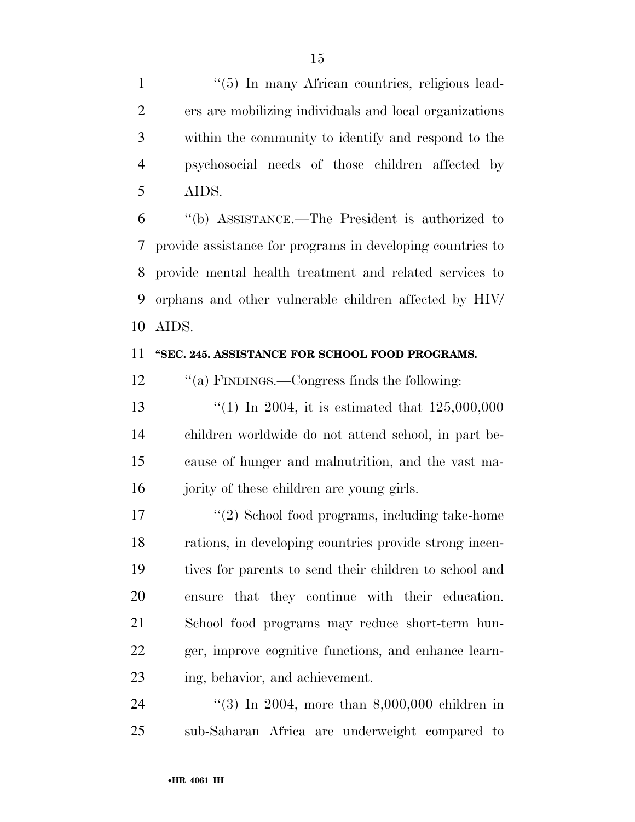1 ''(5) In many African countries, religious lead- ers are mobilizing individuals and local organizations within the community to identify and respond to the psychosocial needs of those children affected by AIDS.

 ''(b) ASSISTANCE.—The President is authorized to provide assistance for programs in developing countries to provide mental health treatment and related services to orphans and other vulnerable children affected by HIV/ AIDS.

#### **''SEC. 245. ASSISTANCE FOR SCHOOL FOOD PROGRAMS.**

12 "(a) FINDINGS.—Congress finds the following:

13 ''(1) In 2004, it is estimated that  $125,000,000$  children worldwide do not attend school, in part be- cause of hunger and malnutrition, and the vast ma-16 jority of these children are young girls.

17 ''(2) School food programs, including take-home rations, in developing countries provide strong incen- tives for parents to send their children to school and ensure that they continue with their education. School food programs may reduce short-term hun- ger, improve cognitive functions, and enhance learn-ing, behavior, and achievement.

 ''(3) In 2004, more than 8,000,000 children in sub-Saharan Africa are underweight compared to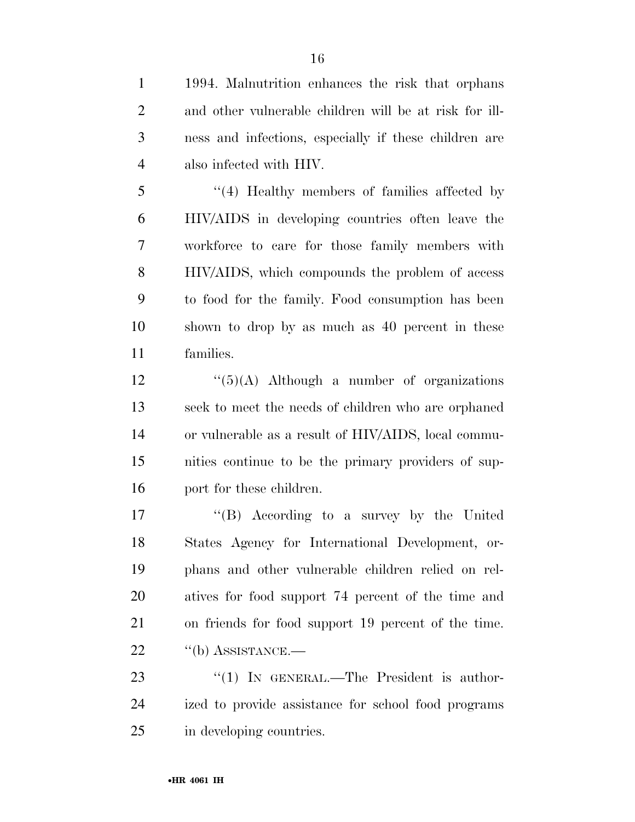1994. Malnutrition enhances the risk that orphans and other vulnerable children will be at risk for ill- ness and infections, especially if these children are also infected with HIV.

 ''(4) Healthy members of families affected by HIV/AIDS in developing countries often leave the workforce to care for those family members with HIV/AIDS, which compounds the problem of access to food for the family. Food consumption has been shown to drop by as much as 40 percent in these families.

 ''(5)(A) Although a number of organizations seek to meet the needs of children who are orphaned or vulnerable as a result of HIV/AIDS, local commu- nities continue to be the primary providers of sup-port for these children.

 ''(B) According to a survey by the United States Agency for International Development, or- phans and other vulnerable children relied on rel- atives for food support 74 percent of the time and on friends for food support 19 percent of the time. 22 "(b) ASSISTANCE.—

23 "(1) IN GENERAL.—The President is author- ized to provide assistance for school food programs in developing countries.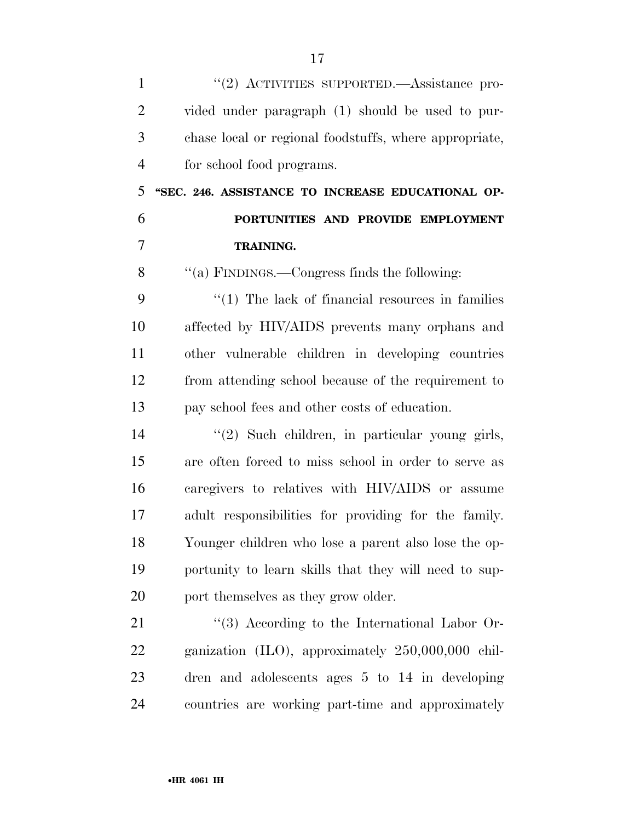| $\mathbf{1}$   | "(2) ACTIVITIES SUPPORTED.—Assistance pro-              |
|----------------|---------------------------------------------------------|
| $\overline{2}$ | vided under paragraph (1) should be used to pur-        |
| 3              | chase local or regional foodstuffs, where appropriate,  |
| $\overline{4}$ | for school food programs.                               |
| 5              | "SEC. 246. ASSISTANCE TO INCREASE EDUCATIONAL OP-       |
| 6              | PORTUNITIES AND PROVIDE EMPLOYMENT                      |
| $\overline{7}$ | <b>TRAINING.</b>                                        |
| 8              | "(a) FINDINGS.—Congress finds the following:            |
| 9              | $\lq(1)$ The lack of financial resources in families    |
| 10             | affected by HIV/AIDS prevents many orphans and          |
| 11             | other vulnerable children in developing countries       |
| 12             | from attending school because of the requirement to     |
| 13             | pay school fees and other costs of education.           |
| 14             | "(2) Such children, in particular young girls,          |
| 15             | are often forced to miss school in order to serve as    |
| 16             | caregivers to relatives with HIV/AIDS or assume         |
| 17             | adult responsibilities for providing for the family.    |
| 18             | Younger children who lose a parent also lose the op-    |
| 19             | portunity to learn skills that they will need to sup-   |
| 20             | port themselves as they grow older.                     |
| 21             | $\lq(3)$ According to the International Labor Or-       |
| 22             | ganization $(II.0)$ , approximately $250,000,000$ chil- |
| 23             | dren and adolescents ages $5$ to $14$ in developing     |
| 24             | countries are working part-time and approximately       |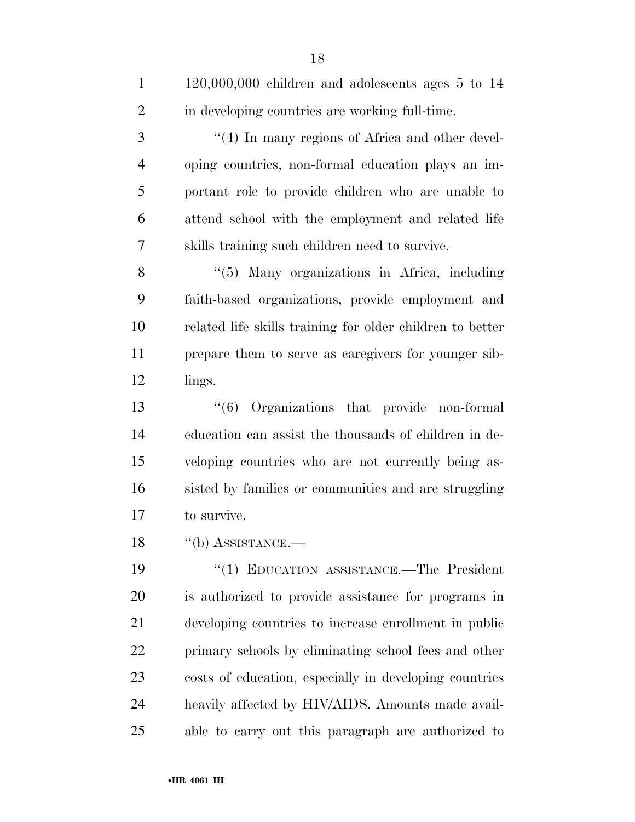| $\mathbf{1}$   | $120,000,000$ children and adolescents ages $5$ to $14$   |
|----------------|-----------------------------------------------------------|
| $\overline{2}$ | in developing countries are working full-time.            |
| 3              | "(4) In many regions of Africa and other devel-           |
| $\overline{4}$ | oping countries, non-formal education plays an im-        |
| 5              | portant role to provide children who are unable to        |
| 6              | attend school with the employment and related life        |
| $\tau$         | skills training such children need to survive.            |
| 8              | "(5) Many organizations in Africa, including              |
| 9              | faith-based organizations, provide employment and         |
| 10             | related life skills training for older children to better |
| 11             | prepare them to serve as caregivers for younger sib-      |
| 12             | lings.                                                    |
| 13             | $(6)$ Organizations that provide non-formal               |
| 14             | education can assist the thousands of children in de-     |
| 15             | veloping countries who are not currently being as-        |
| 16             | sisted by families or communities and are struggling      |
| 17             | to survive.                                               |
| 18             | $\lq\lq(b)$ ASSISTANCE.                                   |
| 19             | "(1) EDUCATION ASSISTANCE.—The President                  |
| 20             | is authorized to provide assistance for programs in       |
| 21             | developing countries to increase enrollment in public     |
| 22             | primary schools by eliminating school fees and other      |
| 23             | costs of education, especially in developing countries    |
| 24             | heavily affected by HIV/AIDS. Amounts made avail-         |
| 25             | able to carry out this paragraph are authorized to        |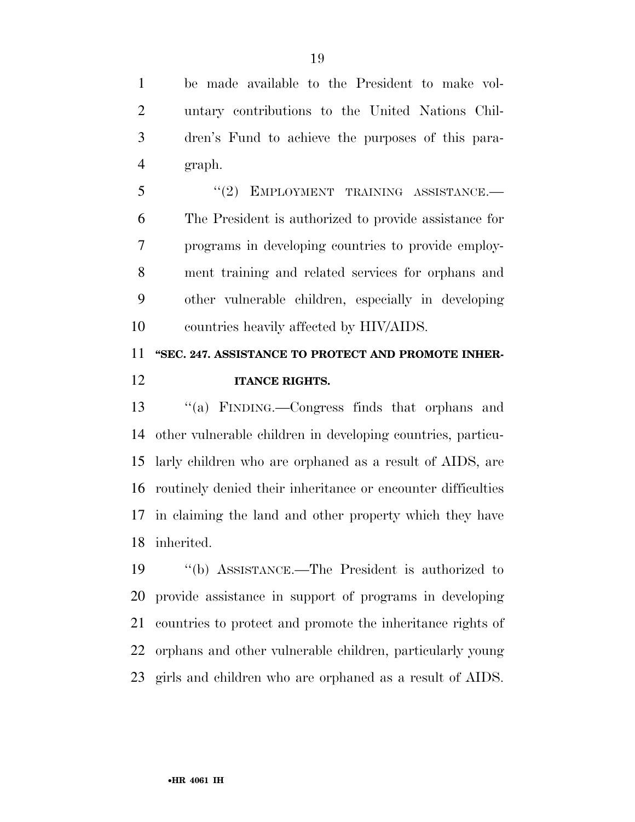be made available to the President to make vol- untary contributions to the United Nations Chil- dren's Fund to achieve the purposes of this para-graph.

5 "(2) EMPLOYMENT TRAINING ASSISTANCE.— The President is authorized to provide assistance for programs in developing countries to provide employ- ment training and related services for orphans and other vulnerable children, especially in developing countries heavily affected by HIV/AIDS.

## **''SEC. 247. ASSISTANCE TO PROTECT AND PROMOTE INHER-ITANCE RIGHTS.**

 ''(a) FINDING.—Congress finds that orphans and other vulnerable children in developing countries, particu- larly children who are orphaned as a result of AIDS, are routinely denied their inheritance or encounter difficulties in claiming the land and other property which they have inherited.

 ''(b) ASSISTANCE.—The President is authorized to provide assistance in support of programs in developing countries to protect and promote the inheritance rights of orphans and other vulnerable children, particularly young girls and children who are orphaned as a result of AIDS.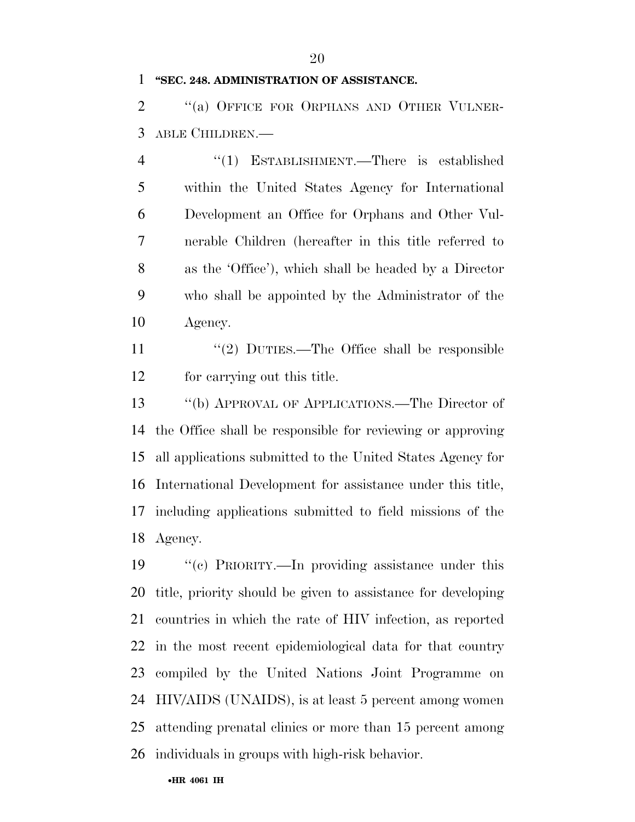#### **''SEC. 248. ADMINISTRATION OF ASSISTANCE.**

2 "(a) OFFICE FOR ORPHANS AND OTHER VULNER-ABLE CHILDREN.—

 ''(1) ESTABLISHMENT.—There is established within the United States Agency for International Development an Office for Orphans and Other Vul- nerable Children (hereafter in this title referred to as the 'Office'), which shall be headed by a Director who shall be appointed by the Administrator of the Agency.

11 ''(2) DUTIES.—The Office shall be responsible for carrying out this title.

 ''(b) APPROVAL OF APPLICATIONS.—The Director of the Office shall be responsible for reviewing or approving all applications submitted to the United States Agency for International Development for assistance under this title, including applications submitted to field missions of the Agency.

 ''(c) PRIORITY.—In providing assistance under this title, priority should be given to assistance for developing countries in which the rate of HIV infection, as reported in the most recent epidemiological data for that country compiled by the United Nations Joint Programme on HIV/AIDS (UNAIDS), is at least 5 percent among women attending prenatal clinics or more than 15 percent among individuals in groups with high-risk behavior.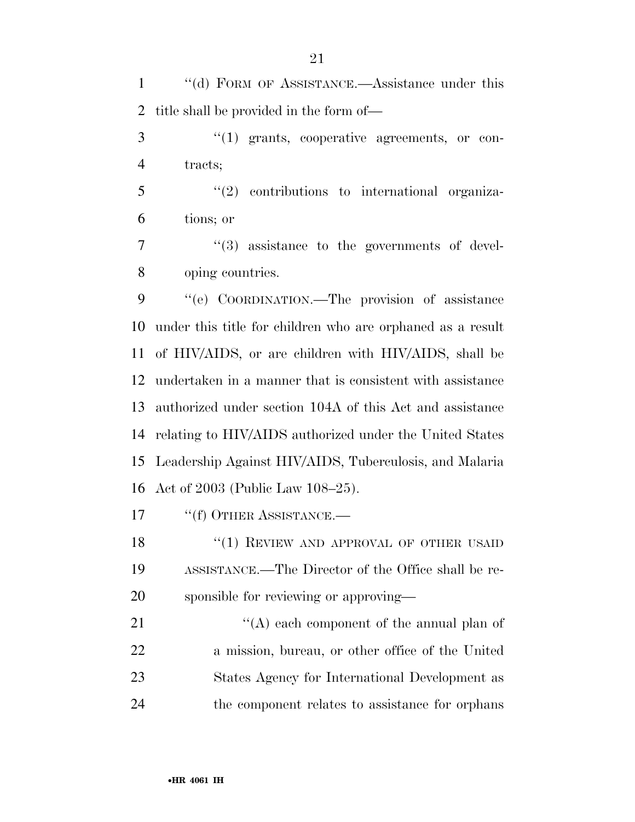''(d) FORM OF ASSISTANCE.—Assistance under this title shall be provided in the form of—

3  $\cdot$  (1) grants, cooperative agreements, or con-tracts;

 ''(2) contributions to international organiza-tions; or

7  $(3)$  assistance to the governments of devel-oping countries.

 ''(e) COORDINATION.—The provision of assistance under this title for children who are orphaned as a result of HIV/AIDS, or are children with HIV/AIDS, shall be undertaken in a manner that is consistent with assistance authorized under section 104A of this Act and assistance relating to HIV/AIDS authorized under the United States Leadership Against HIV/AIDS, Tuberculosis, and Malaria Act of 2003 (Public Law 108–25).

17 <sup>"</sup>(f) OTHER ASSISTANCE.—

18 "(1) REVIEW AND APPROVAL OF OTHER USAID ASSISTANCE.—The Director of the Office shall be re-sponsible for reviewing or approving—

21 ''(A) each component of the annual plan of a mission, bureau, or other office of the United States Agency for International Development as the component relates to assistance for orphans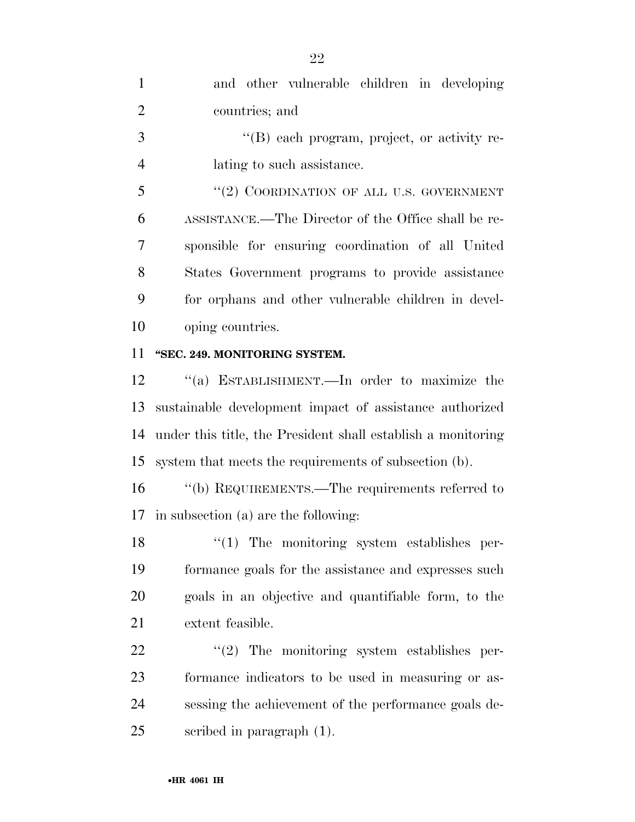| $\mathbf{1}$   | and other vulnerable children in developing         |
|----------------|-----------------------------------------------------|
| 2              | countries; and                                      |
| 3              | $\lq\lq (B)$ each program, project, or activity re- |
| $\overline{4}$ | lating to such assistance.                          |
| 5              | "(2) COORDINATION OF ALL U.S. GOVERNMENT            |
| 6              | ASSISTANCE.—The Director of the Office shall be re- |
| 7              | sponsible for ensuring coordination of all United   |
| 8              | States Government programs to provide assistance    |
| 9              | for orphans and other vulnerable children in devel- |
| 10             | oping countries.                                    |
| 11             | "SEC. 249. MONITORING SYSTEM.                       |

 ''(a) ESTABLISHMENT.—In order to maximize the sustainable development impact of assistance authorized under this title, the President shall establish a monitoring system that meets the requirements of subsection (b).

 ''(b) REQUIREMENTS.—The requirements referred to in subsection (a) are the following:

 $\frac{1}{2}$  The monitoring system establishes per- formance goals for the assistance and expresses such goals in an objective and quantifiable form, to the extent feasible.

 $\frac{1}{22}$  ''(2) The monitoring system establishes per- formance indicators to be used in measuring or as- sessing the achievement of the performance goals de-scribed in paragraph (1).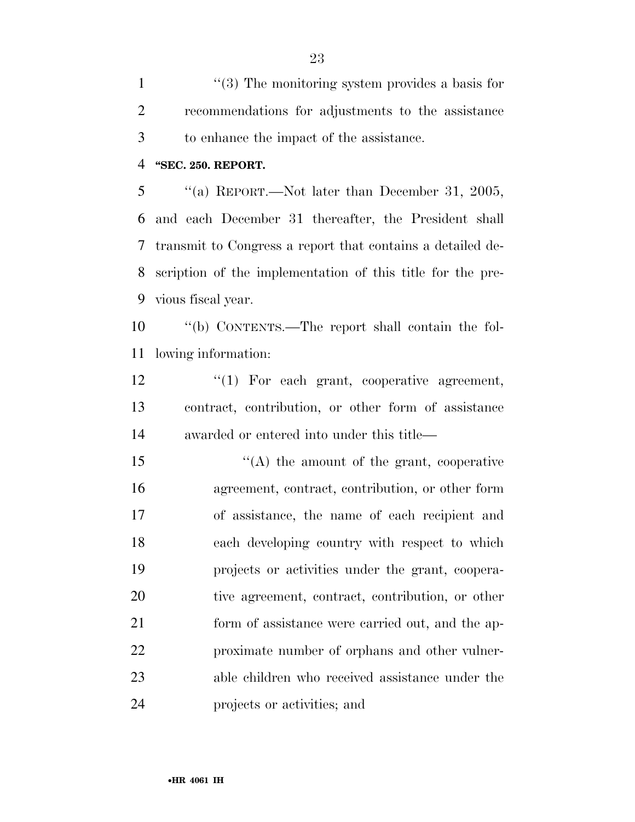1 ''(3) The monitoring system provides a basis for recommendations for adjustments to the assistance to enhance the impact of the assistance.

#### **''SEC. 250. REPORT.**

 ''(a) REPORT.—Not later than December 31, 2005, and each December 31 thereafter, the President shall transmit to Congress a report that contains a detailed de- scription of the implementation of this title for the pre-vious fiscal year.

 ''(b) CONTENTS.—The report shall contain the fol-lowing information:

12  $\frac{12}{10}$  For each grant, cooperative agreement, contract, contribution, or other form of assistance awarded or entered into under this title—

15 "(A) the amount of the grant, cooperative agreement, contract, contribution, or other form of assistance, the name of each recipient and each developing country with respect to which projects or activities under the grant, coopera- tive agreement, contract, contribution, or other 21 form of assistance were carried out, and the ap- proximate number of orphans and other vulner- able children who received assistance under the projects or activities; and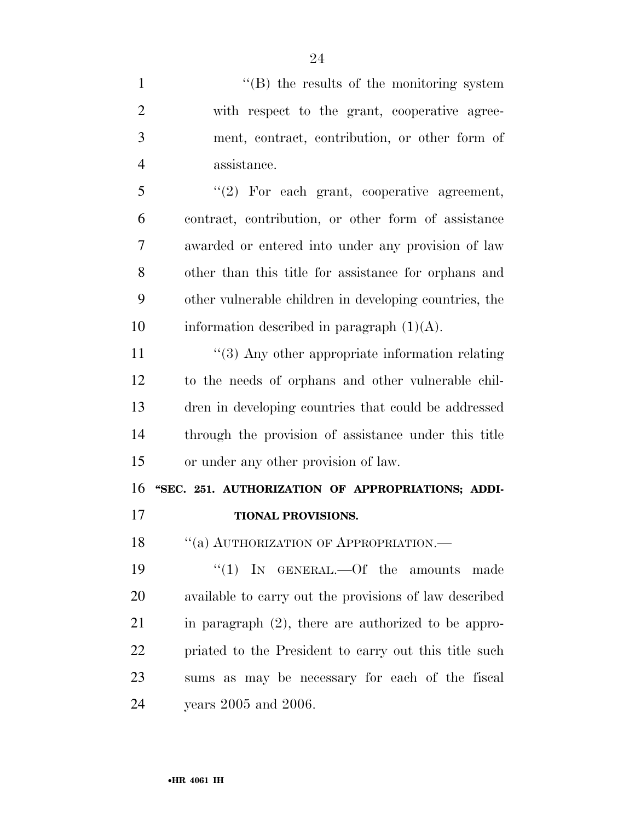1 ''(B) the results of the monitoring system with respect to the grant, cooperative agree- ment, contract, contribution, or other form of assistance. ''(2) For each grant, cooperative agreement, contract, contribution, or other form of assistance awarded or entered into under any provision of law other than this title for assistance for orphans and other vulnerable children in developing countries, the 10 information described in paragraph  $(1)(A)$ . 11 ''(3) Any other appropriate information relating to the needs of orphans and other vulnerable chil- dren in developing countries that could be addressed through the provision of assistance under this title or under any other provision of law. **''SEC. 251. AUTHORIZATION OF APPROPRIATIONS; ADDI- TIONAL PROVISIONS.**  18 "(a) AUTHORIZATION OF APPROPRIATION.—  $\frac{1}{2}$  IN GENERAL. - Of the amounts made available to carry out the provisions of law described in paragraph (2), there are authorized to be appro- priated to the President to carry out this title such sums as may be necessary for each of the fiscal years 2005 and 2006.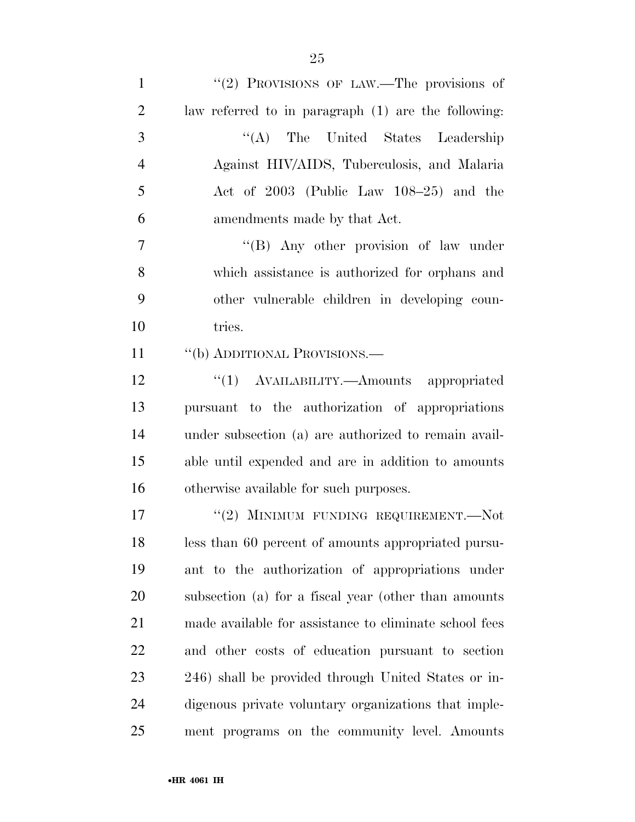| $\mathbf{1}$   | "(2) PROVISIONS OF LAW.—The provisions of              |
|----------------|--------------------------------------------------------|
| $\overline{2}$ | law referred to in paragraph (1) are the following:    |
| 3              | "(A) The United States Leadership                      |
| $\overline{4}$ | Against HIV/AIDS, Tuberculosis, and Malaria            |
| 5              | Act of 2003 (Public Law 108-25) and the                |
| 6              | amendments made by that Act.                           |
| $\overline{7}$ | "(B) Any other provision of law under                  |
| 8              | which assistance is authorized for orphans and         |
| 9              | other vulnerable children in developing coun-          |
| 10             | tries.                                                 |
| 11             | "(b) ADDITIONAL PROVISIONS.—                           |
| 12             | "(1) AVAILABILITY.—Amounts appropriated                |
| 13             | pursuant to the authorization of appropriations        |
| 14             | under subsection (a) are authorized to remain avail-   |
| 15             | able until expended and are in addition to amounts     |
| 16             | otherwise available for such purposes.                 |
| 17             | "(2) MINIMUM FUNDING REQUIREMENT.—Not                  |
| 18             | less than 60 percent of amounts appropriated pursu-    |
| 19             | ant to the authorization of appropriations under       |
| 20             | subsection (a) for a fiscal year (other than amounts   |
| 21             | made available for assistance to eliminate school fees |
| 22             | and other costs of education pursuant to section       |
| 23             | 246) shall be provided through United States or in-    |
| 24             | digenous private voluntary organizations that imple-   |
| 25             | ment programs on the community level. Amounts          |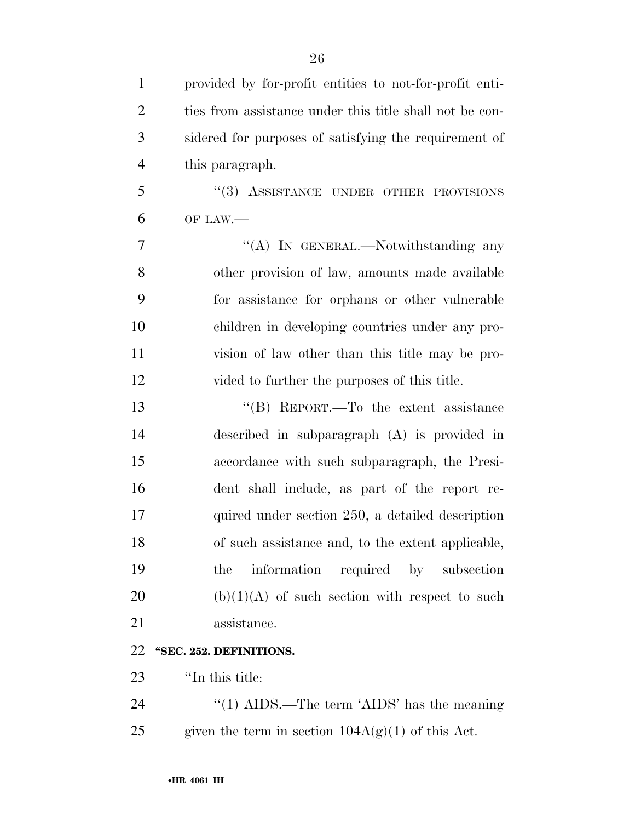provided by for-profit entities to not-for-profit enti-2 ties from assistance under this title shall not be con- sidered for purposes of satisfying the requirement of this paragraph. 5 "(3) ASSISTANCE UNDER OTHER PROVISIONS OF LAW.— 7 "'(A) In GENERAL.—Notwithstanding any other provision of law, amounts made available for assistance for orphans or other vulnerable children in developing countries under any pro- vision of law other than this title may be pro- vided to further the purposes of this title. ''(B) REPORT.—To the extent assistance described in subparagraph (A) is provided in accordance with such subparagraph, the Presi- dent shall include, as part of the report re- quired under section 250, a detailed description of such assistance and, to the extent applicable, the information required by subsection 20 (b) $(1)(A)$  of such section with respect to such assistance. **''SEC. 252. DEFINITIONS.**  ''In this title:

24 ''(1) AIDS.—The term 'AIDS' has the meaning 25 given the term in section  $104A(g)(1)$  of this Act.